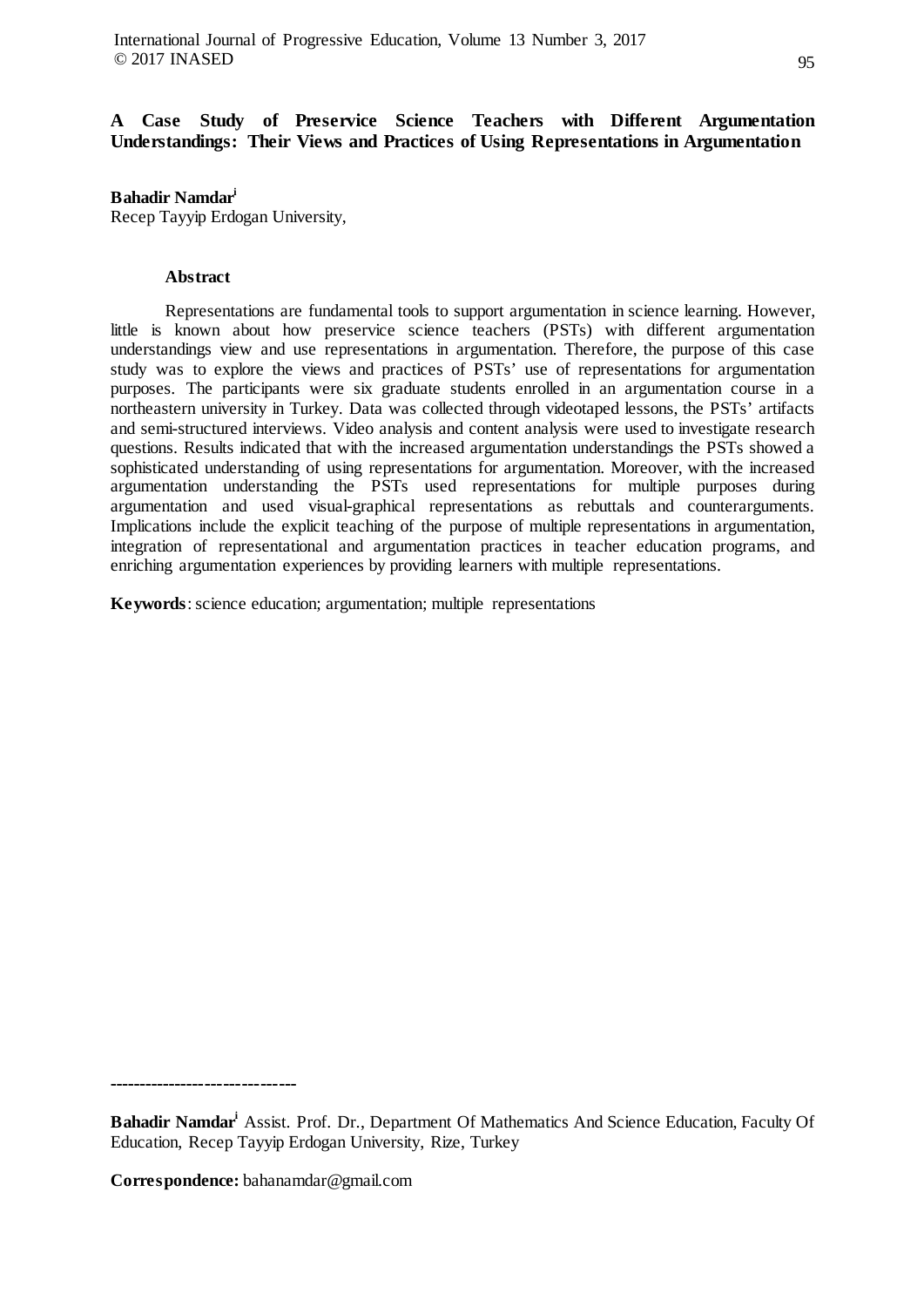# **A Case Study of Preservice Science Teachers with Different Argumentation Understandings: Their Views and Practices of Using Representations in Argumentation**

## **Bahadir Namdari**

Recep Tayyip Erdogan University,

#### **Abstract**

Representations are fundamental tools to support argumentation in science learning. However, little is known about how preservice science teachers (PSTs) with different argumentation understandings view and use representations in argumentation. Therefore, the purpose of this case study was to explore the views and practices of PSTs' use of representations for argumentation purposes. The participants were six graduate students enrolled in an argumentation course in a northeastern university in Turkey. Data was collected through videotaped lessons, the PSTs' artifacts and semi-structured interviews. Video analysis and content analysis were used to investigate research questions. Results indicated that with the increased argumentation understandings the PSTs showed a sophisticated understanding of using representations for argumentation. Moreover, with the increased argumentation understanding the PSTs used representations for multiple purposes during argumentation and used visual-graphical representations as rebuttals and counterarguments. Implications include the explicit teaching of the purpose of multiple representations in argumentation, integration of representational and argumentation practices in teacher education programs, and enriching argumentation experiences by providing learners with multiple representations.

**Keywords**: science education; argumentation; multiple representations

**-------------------------------**

**Bahadir Namdari** Assist. Prof. Dr., Department Of Mathematics And Science Education, Faculty Of Education, Recep Tayyip Erdogan University, Rize, Turkey

**Correspondence:** bahanamdar@gmail.com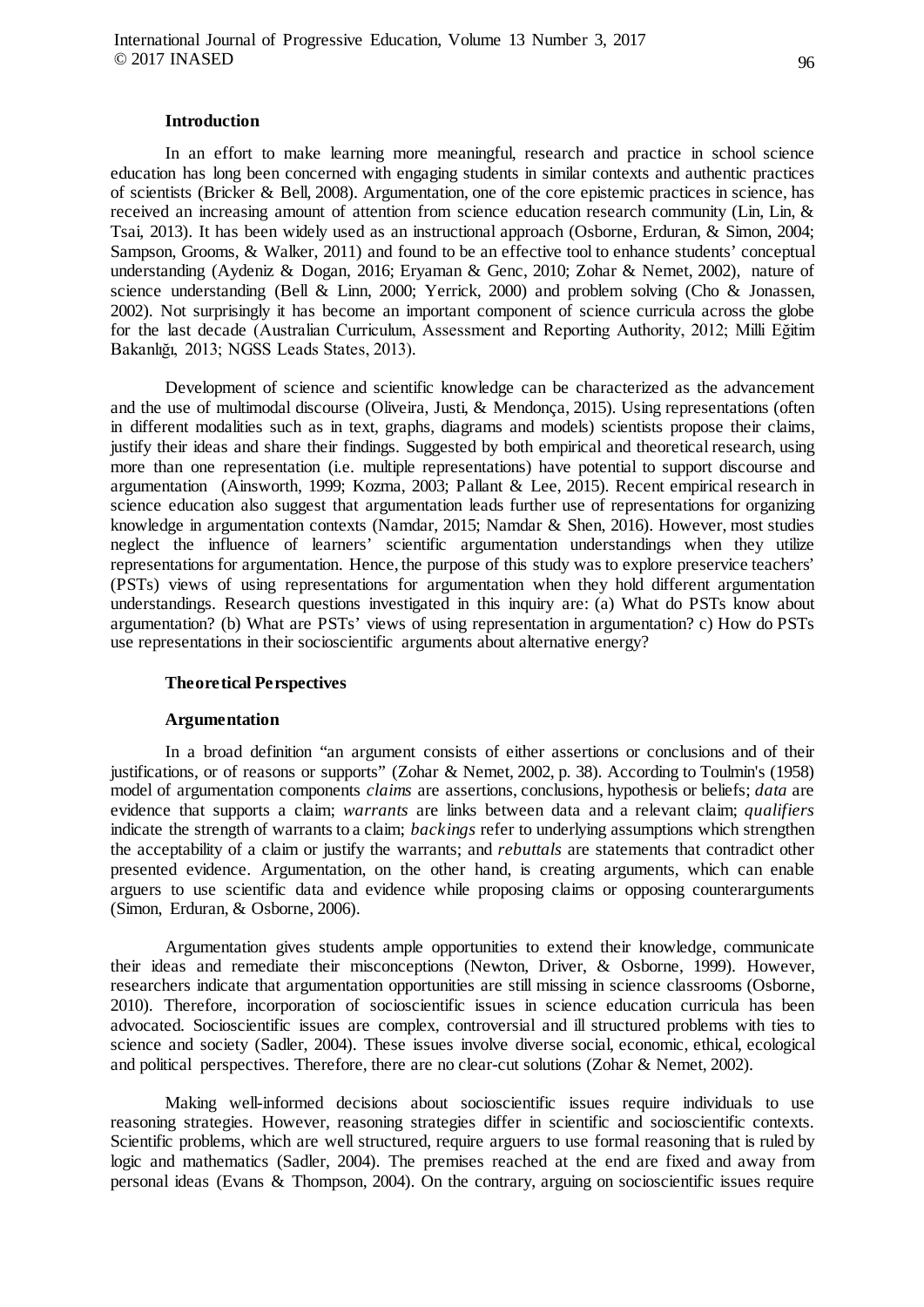#### **Introduction**

In an effort to make learning more meaningful, research and practice in school science education has long been concerned with engaging students in similar contexts and authentic practices of scientists (Bricker & Bell, 2008). Argumentation, one of the core epistemic practices in science, has received an increasing amount of attention from science education research community (Lin, Lin, & Tsai, 2013). It has been widely used as an instructional approach (Osborne, Erduran, & Simon, 2004; Sampson, Grooms, & Walker, 2011) and found to be an effective tool to enhance students' conceptual understanding (Aydeniz & Dogan, 2016; Eryaman & Genc, 2010; Zohar & Nemet, 2002), nature of science understanding (Bell & Linn, 2000; Yerrick, 2000) and problem solving (Cho & Jonassen, 2002). Not surprisingly it has become an important component of science curricula across the globe for the last decade (Australian Curriculum, Assessment and Reporting Authority, 2012; Milli Eğitim Bakanlığı, 2013; NGSS Leads States, 2013).

Development of science and scientific knowledge can be characterized as the advancement and the use of multimodal discourse (Oliveira, Justi, & Mendonça, 2015). Using representations (often in different modalities such as in text, graphs, diagrams and models) scientists propose their claims, justify their ideas and share their findings. Suggested by both empirical and theoretical research, using more than one representation (i.e. multiple representations) have potential to support discourse and argumentation (Ainsworth, 1999; Kozma, 2003; Pallant & Lee, 2015). Recent empirical research in science education also suggest that argumentation leads further use of representations for organizing knowledge in argumentation contexts (Namdar, 2015; Namdar & Shen, 2016). However, most studies neglect the influence of learners' scientific argumentation understandings when they utilize representations for argumentation. Hence, the purpose of this study was to explore preservice teachers' (PSTs) views of using representations for argumentation when they hold different argumentation understandings. Research questions investigated in this inquiry are: (a) What do PSTs know about argumentation? (b) What are PSTs' views of using representation in argumentation? c) How do PSTs use representations in their socioscientific arguments about alternative energy?

#### **Theoretical Perspectives**

#### **Argumentation**

In a broad definition "an argument consists of either assertions or conclusions and of their justifications, or of reasons or supports" (Zohar & Nemet, 2002, p. 38). According to Toulmin's (1958) model of argumentation components *claims* are assertions, conclusions, hypothesis or beliefs; *data* are evidence that supports a claim; *warrants* are links between data and a relevant claim; *qualifiers* indicate the strength of warrants to a claim; *backings* refer to underlying assumptions which strengthen the acceptability of a claim or justify the warrants; and *rebuttals* are statements that contradict other presented evidence. Argumentation, on the other hand, is creating arguments, which can enable arguers to use scientific data and evidence while proposing claims or opposing counterarguments (Simon, Erduran, & Osborne, 2006).

Argumentation gives students ample opportunities to extend their knowledge, communicate their ideas and remediate their misconceptions (Newton, Driver, & Osborne, 1999). However, researchers indicate that argumentation opportunities are still missing in science classrooms (Osborne, 2010). Therefore, incorporation of socioscientific issues in science education curricula has been advocated. Socioscientific issues are complex, controversial and ill structured problems with ties to science and society (Sadler, 2004). These issues involve diverse social, economic, ethical, ecological and political perspectives. Therefore, there are no clear-cut solutions (Zohar & Nemet, 2002).

Making well-informed decisions about socioscientific issues require individuals to use reasoning strategies. However, reasoning strategies differ in scientific and socioscientific contexts. Scientific problems, which are well structured, require arguers to use formal reasoning that is ruled by logic and mathematics (Sadler, 2004). The premises reached at the end are fixed and away from personal ideas (Evans & Thompson, 2004). On the contrary, arguing on socioscientific issues require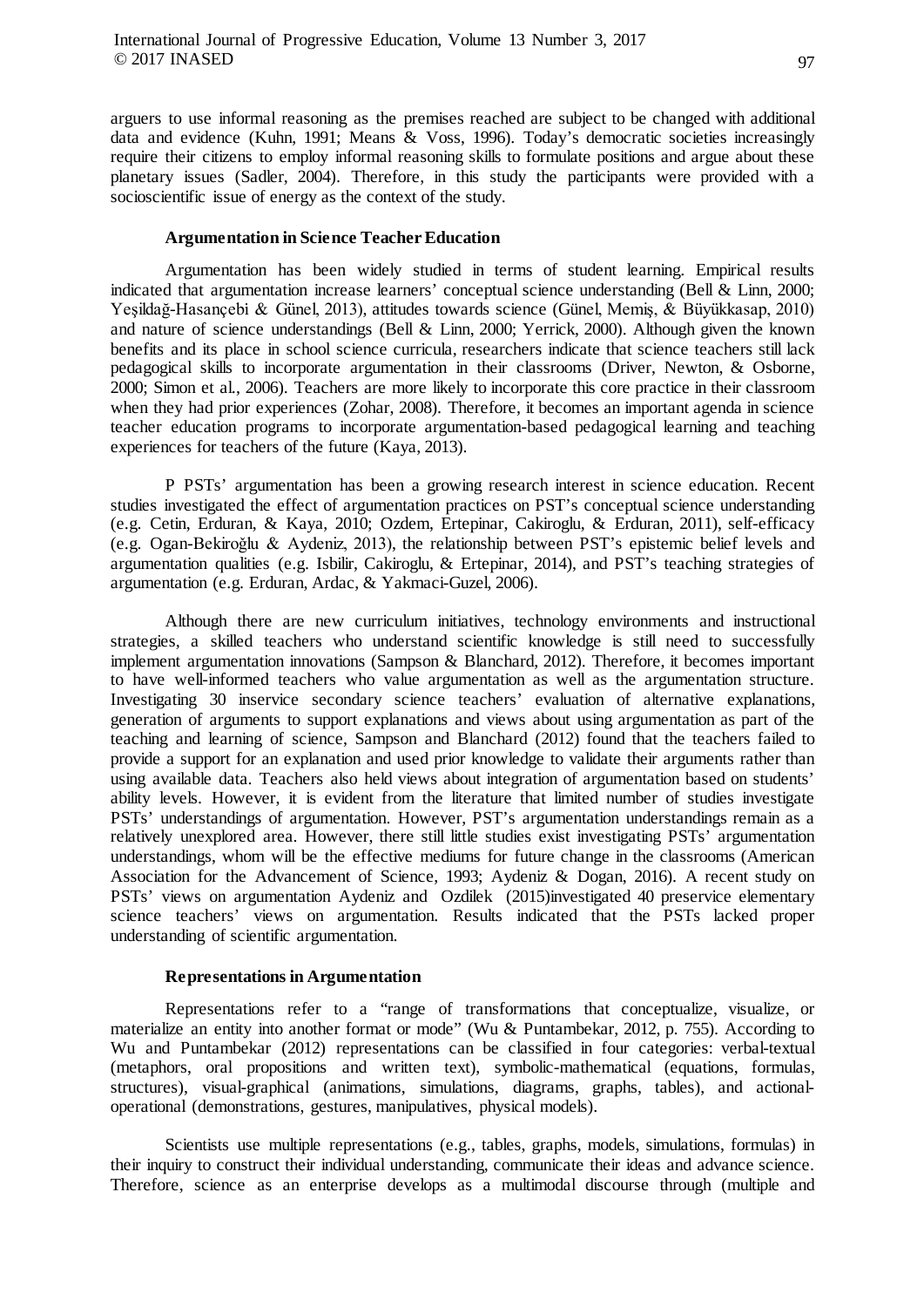arguers to use informal reasoning as the premises reached are subject to be changed with additional data and evidence (Kuhn, 1991; Means & Voss, 1996). Today's democratic societies increasingly require their citizens to employ informal reasoning skills to formulate positions and argue about these planetary issues (Sadler, 2004). Therefore, in this study the participants were provided with a socioscientific issue of energy as the context of the study.

#### **Argumentation in Science Teacher Education**

Argumentation has been widely studied in terms of student learning. Empirical results indicated that argumentation increase learners' conceptual science understanding (Bell & Linn, 2000; Yeşildağ-Hasançebı̇ & Günel, 2013), attitudes towards science (Günel, Memiş, & Büyükkasap, 2010) and nature of science understandings (Bell & Linn, 2000; Yerrick, 2000). Although given the known benefits and its place in school science curricula, researchers indicate that science teachers still lack pedagogical skills to incorporate argumentation in their classrooms (Driver, Newton, & Osborne, 2000; Simon et al., 2006). Teachers are more likely to incorporate this core practice in their classroom when they had prior experiences (Zohar, 2008). Therefore, it becomes an important agenda in science teacher education programs to incorporate argumentation-based pedagogical learning and teaching experiences for teachers of the future (Kaya, 2013).

P PSTs' argumentation has been a growing research interest in science education. Recent studies investigated the effect of argumentation practices on PST's conceptual science understanding (e.g. Cetin, Erduran, & Kaya, 2010; Ozdem, Ertepinar, Cakiroglu, & Erduran, 2011), self-efficacy (e.g. Ogan-Bekiroǧlu & Aydeniz, 2013), the relationship between PST's epistemic belief levels and argumentation qualities (e.g. Isbilir, Cakiroglu, & Ertepinar, 2014), and PST's teaching strategies of argumentation (e.g. Erduran, Ardac, & Yakmaci-Guzel, 2006).

Although there are new curriculum initiatives, technology environments and instructional strategies, a skilled teachers who understand scientific knowledge is still need to successfully implement argumentation innovations (Sampson & Blanchard, 2012). Therefore, it becomes important to have well-informed teachers who value argumentation as well as the argumentation structure. Investigating 30 inservice secondary science teachers' evaluation of alternative explanations, generation of arguments to support explanations and views about using argumentation as part of the teaching and learning of science, Sampson and Blanchard (2012) found that the teachers failed to provide a support for an explanation and used prior knowledge to validate their arguments rather than using available data. Teachers also held views about integration of argumentation based on students' ability levels. However, it is evident from the literature that limited number of studies investigate PSTs' understandings of argumentation. However, PST's argumentation understandings remain as a relatively unexplored area. However, there still little studies exist investigating PSTs' argumentation understandings, whom will be the effective mediums for future change in the classrooms (American Association for the Advancement of Science, 1993; Aydeniz & Dogan, 2016). A recent study on PSTs' views on argumentation Aydeniz and Ozdilek (2015)investigated 40 preservice elementary science teachers' views on argumentation. Results indicated that the PSTs lacked proper understanding of scientific argumentation.

#### **Representations in Argumentation**

Representations refer to a "range of transformations that conceptualize, visualize, or materialize an entity into another format or mode" (Wu & Puntambekar, 2012, p. 755). According to Wu and Puntambekar (2012) representations can be classified in four categories: verbal-textual (metaphors, oral propositions and written text), symbolic-mathematical (equations, formulas, structures), visual-graphical (animations, simulations, diagrams, graphs, tables), and actionaloperational (demonstrations, gestures, manipulatives, physical models).

Scientists use multiple representations (e.g., tables, graphs, models, simulations, formulas) in their inquiry to construct their individual understanding, communicate their ideas and advance science. Therefore, science as an enterprise develops as a multimodal discourse through (multiple and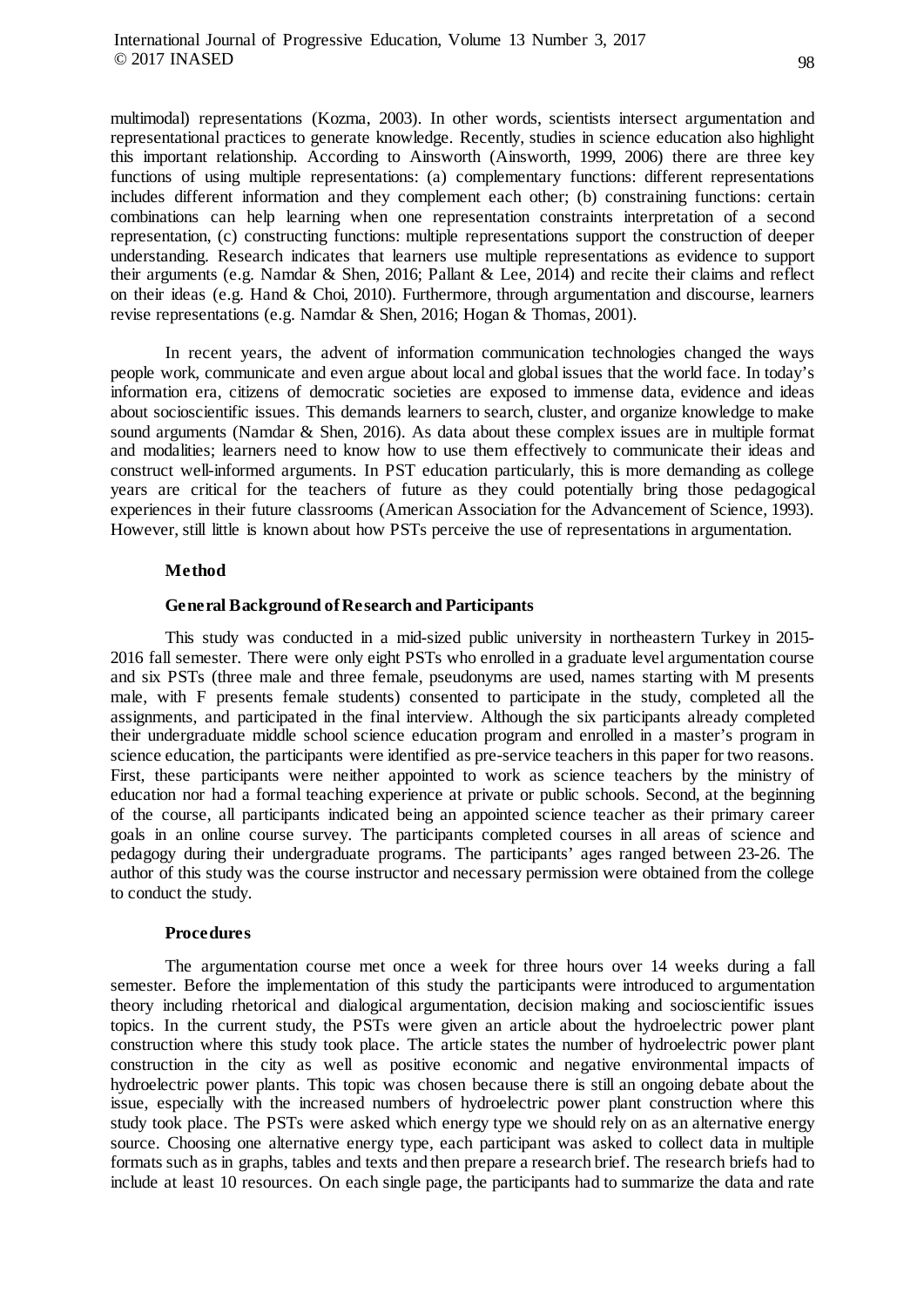multimodal) representations (Kozma, 2003). In other words, scientists intersect argumentation and representational practices to generate knowledge. Recently, studies in science education also highlight this important relationship. According to Ainsworth (Ainsworth, 1999, 2006) there are three key functions of using multiple representations: (a) complementary functions: different representations includes different information and they complement each other; (b) constraining functions: certain combinations can help learning when one representation constraints interpretation of a second representation, (c) constructing functions: multiple representations support the construction of deeper understanding. Research indicates that learners use multiple representations as evidence to support their arguments (e.g. Namdar & Shen, 2016; Pallant & Lee, 2014) and recite their claims and reflect on their ideas (e.g. Hand & Choi, 2010). Furthermore, through argumentation and discourse, learners revise representations (e.g. Namdar & Shen, 2016; Hogan & Thomas, 2001).

In recent years, the advent of information communication technologies changed the ways people work, communicate and even argue about local and global issues that the world face. In today's information era, citizens of democratic societies are exposed to immense data, evidence and ideas about socioscientific issues. This demands learners to search, cluster, and organize knowledge to make sound arguments (Namdar & Shen, 2016). As data about these complex issues are in multiple format and modalities; learners need to know how to use them effectively to communicate their ideas and construct well-informed arguments. In PST education particularly, this is more demanding as college years are critical for the teachers of future as they could potentially bring those pedagogical experiences in their future classrooms (American Association for the Advancement of Science, 1993). However, still little is known about how PSTs perceive the use of representations in argumentation.

#### **Method**

## **General Background of Research and Participants**

This study was conducted in a mid-sized public university in northeastern Turkey in 2015- 2016 fall semester. There were only eight PSTs who enrolled in a graduate level argumentation course and six PSTs (three male and three female, pseudonyms are used, names starting with M presents male, with F presents female students) consented to participate in the study, completed all the assignments, and participated in the final interview. Although the six participants already completed their undergraduate middle school science education program and enrolled in a master's program in science education, the participants were identified as pre-service teachers in this paper for two reasons. First, these participants were neither appointed to work as science teachers by the ministry of education nor had a formal teaching experience at private or public schools. Second, at the beginning of the course, all participants indicated being an appointed science teacher as their primary career goals in an online course survey. The participants completed courses in all areas of science and pedagogy during their undergraduate programs. The participants' ages ranged between 23-26. The author of this study was the course instructor and necessary permission were obtained from the college to conduct the study.

## **Procedures**

The argumentation course met once a week for three hours over 14 weeks during a fall semester. Before the implementation of this study the participants were introduced to argumentation theory including rhetorical and dialogical argumentation, decision making and socioscientific issues topics. In the current study, the PSTs were given an article about the hydroelectric power plant construction where this study took place. The article states the number of hydroelectric power plant construction in the city as well as positive economic and negative environmental impacts of hydroelectric power plants. This topic was chosen because there is still an ongoing debate about the issue, especially with the increased numbers of hydroelectric power plant construction where this study took place. The PSTs were asked which energy type we should rely on as an alternative energy source. Choosing one alternative energy type, each participant was asked to collect data in multiple formats such as in graphs, tables and texts and then prepare a research brief. The research briefs had to include at least 10 resources. On each single page, the participants had to summarize the data and rate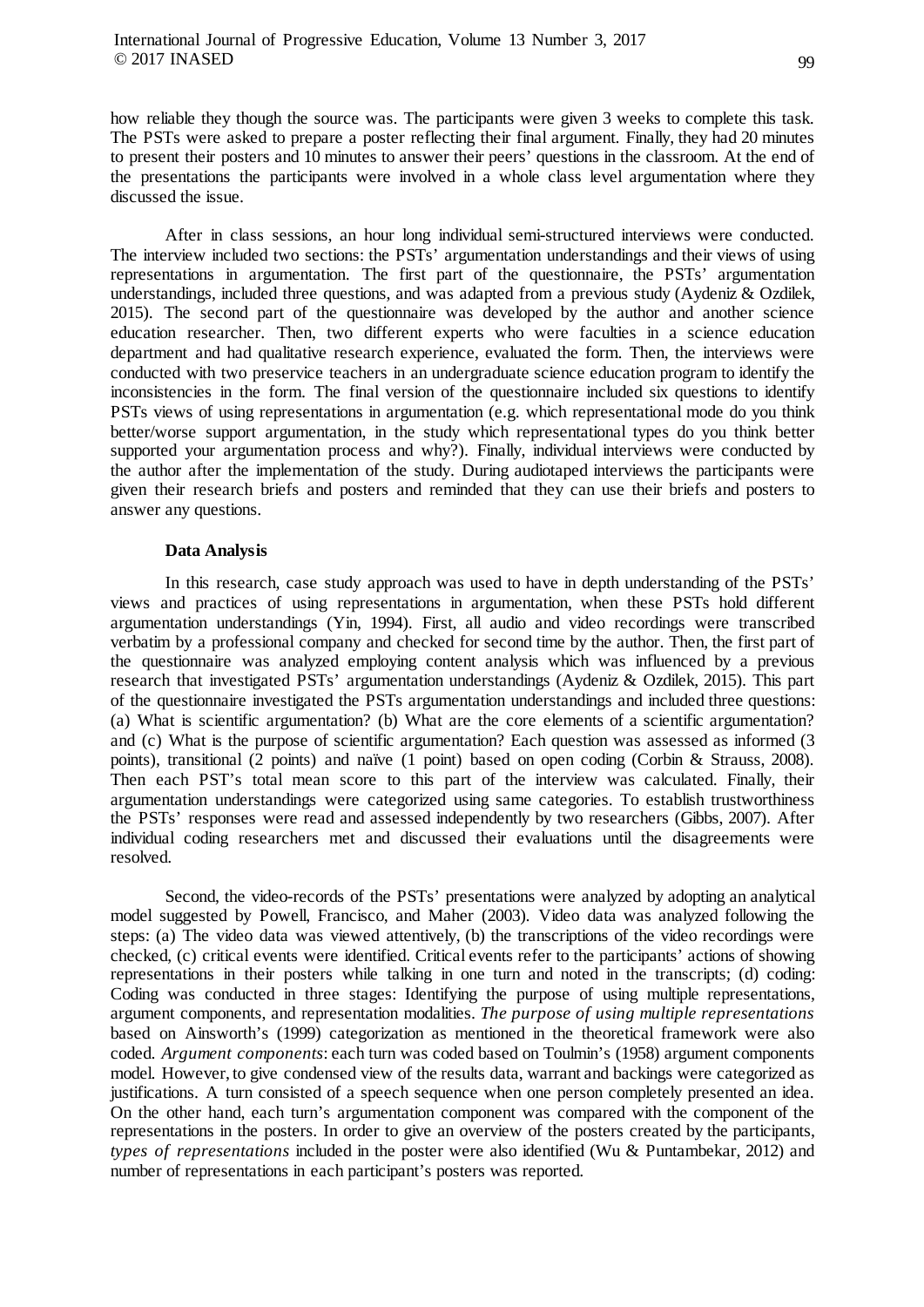how reliable they though the source was. The participants were given 3 weeks to complete this task. The PSTs were asked to prepare a poster reflecting their final argument. Finally, they had 20 minutes to present their posters and 10 minutes to answer their peers' questions in the classroom. At the end of the presentations the participants were involved in a whole class level argumentation where they discussed the issue.

After in class sessions, an hour long individual semi-structured interviews were conducted. The interview included two sections: the PSTs' argumentation understandings and their views of using representations in argumentation. The first part of the questionnaire, the PSTs' argumentation understandings, included three questions, and was adapted from a previous study (Aydeniz & Ozdilek, 2015). The second part of the questionnaire was developed by the author and another science education researcher. Then, two different experts who were faculties in a science education department and had qualitative research experience, evaluated the form. Then, the interviews were conducted with two preservice teachers in an undergraduate science education program to identify the inconsistencies in the form. The final version of the questionnaire included six questions to identify PSTs views of using representations in argumentation (e.g. which representational mode do you think better/worse support argumentation, in the study which representational types do you think better supported your argumentation process and why?). Finally, individual interviews were conducted by the author after the implementation of the study. During audiotaped interviews the participants were given their research briefs and posters and reminded that they can use their briefs and posters to answer any questions.

## **Data Analysis**

In this research, case study approach was used to have in depth understanding of the PSTs' views and practices of using representations in argumentation, when these PSTs hold different argumentation understandings (Yin, 1994). First, all audio and video recordings were transcribed verbatim by a professional company and checked for second time by the author. Then, the first part of the questionnaire was analyzed employing content analysis which was influenced by a previous research that investigated PSTs' argumentation understandings (Aydeniz & Ozdilek, 2015). This part of the questionnaire investigated the PSTs argumentation understandings and included three questions: (a) What is scientific argumentation? (b) What are the core elements of a scientific argumentation? and (c) What is the purpose of scientific argumentation? Each question was assessed as informed (3 points), transitional (2 points) and naïve (1 point) based on open coding (Corbin & Strauss, 2008). Then each PST's total mean score to this part of the interview was calculated. Finally, their argumentation understandings were categorized using same categories. To establish trustworthiness the PSTs' responses were read and assessed independently by two researchers (Gibbs, 2007). After individual coding researchers met and discussed their evaluations until the disagreements were resolved.

Second, the video-records of the PSTs' presentations were analyzed by adopting an analytical model suggested by Powell, Francisco, and Maher (2003). Video data was analyzed following the steps: (a) The video data was viewed attentively, (b) the transcriptions of the video recordings were checked, (c) critical events were identified. Critical events refer to the participants' actions of showing representations in their posters while talking in one turn and noted in the transcripts; (d) coding: Coding was conducted in three stages: Identifying the purpose of using multiple representations, argument components, and representation modalities. *The purpose of using multiple representations* based on Ainsworth's (1999) categorization as mentioned in the theoretical framework were also coded. *Argument components*: each turn was coded based on Toulmin's (1958) argument components model. However, to give condensed view of the results data, warrant and backings were categorized as justifications. A turn consisted of a speech sequence when one person completely presented an idea. On the other hand, each turn's argumentation component was compared with the component of the representations in the posters. In order to give an overview of the posters created by the participants, *types of representations* included in the poster were also identified (Wu & Puntambekar, 2012) and number of representations in each participant's posters was reported.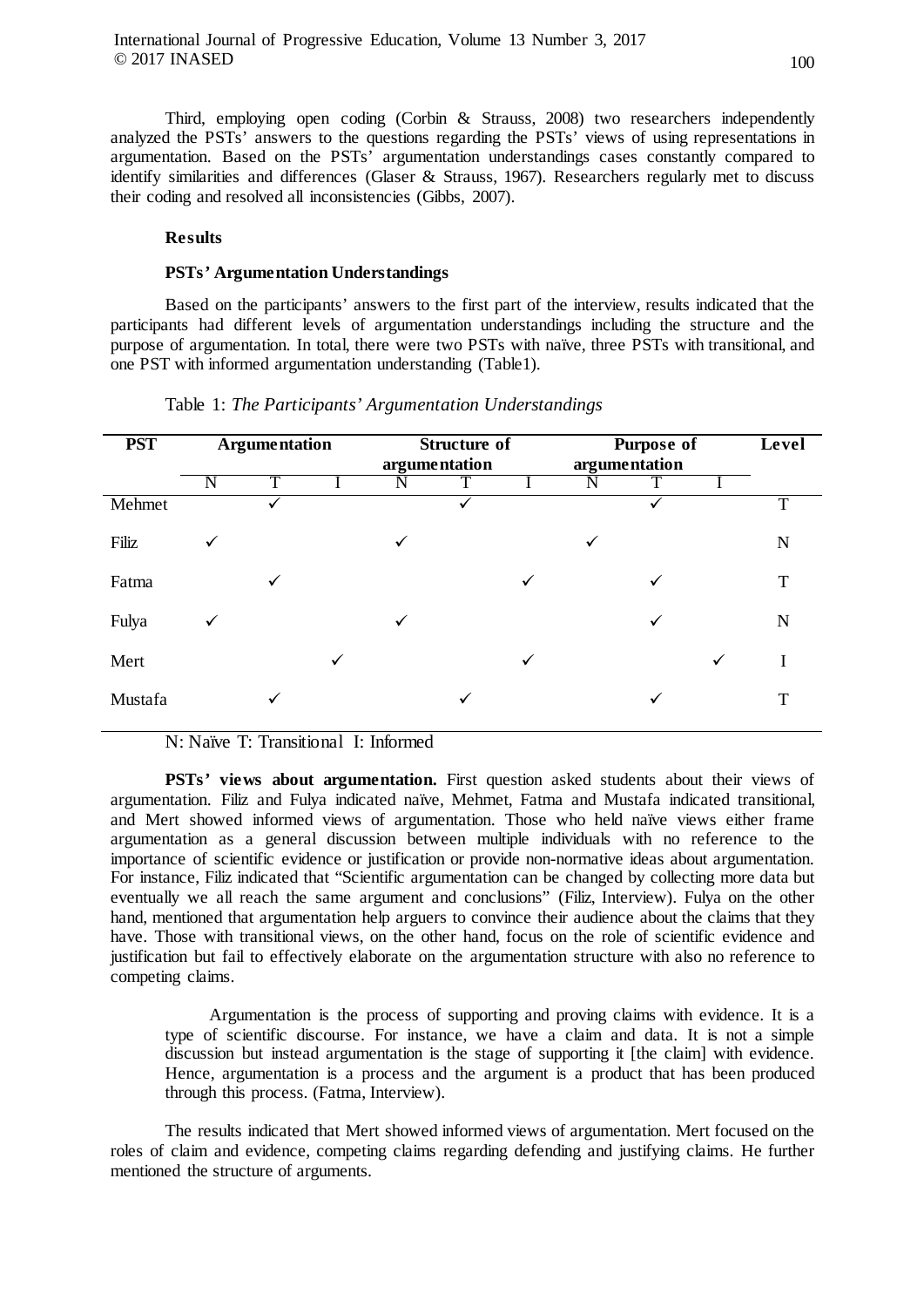Third, employing open coding (Corbin & Strauss, 2008) two researchers independently analyzed the PSTs' answers to the questions regarding the PSTs' views of using representations in argumentation. Based on the PSTs' argumentation understandings cases constantly compared to identify similarities and differences (Glaser & Strauss, 1967). Researchers regularly met to discuss their coding and resolved all inconsistencies (Gibbs, 2007).

# **Results**

# **PSTs' Argumentation Understandings**

Based on the participants' answers to the first part of the interview, results indicated that the participants had different levels of argumentation understandings including the structure and the purpose of argumentation. In total, there were two PSTs with naïve, three PSTs with transitional, and one PST with informed argumentation understanding (Table1).

| <b>PST</b> | <b>Argumentation</b> |   |   | Structure of<br>argumentation |  |              | <b>Purpose of</b><br>argumentation |   |   | Level |
|------------|----------------------|---|---|-------------------------------|--|--------------|------------------------------------|---|---|-------|
|            | N                    | T |   |                               |  |              | N                                  |   |   |       |
| Mehmet     |                      |   |   |                               |  |              |                                    |   |   | T     |
| Filiz      | ✓                    |   |   | $\checkmark$                  |  |              | $\checkmark$                       |   |   | N     |
| Fatma      |                      | ✓ |   |                               |  | $\checkmark$ |                                    | ✓ |   | T     |
| Fulya      | $\checkmark$         |   |   | $\checkmark$                  |  |              |                                    | ✓ |   | N     |
| Mert       |                      |   | ✓ |                               |  | ✓            |                                    |   | ✓ |       |
| Mustafa    |                      | ✓ |   |                               |  |              |                                    |   |   | T     |

Table 1: *The Participants' Argumentation Understandings*

N: Naïve T: Transitional I: Informed

**PSTs' views about argumentation.** First question asked students about their views of argumentation. Filiz and Fulya indicated naïve, Mehmet, Fatma and Mustafa indicated transitional, and Mert showed informed views of argumentation. Those who held naïve views either frame argumentation as a general discussion between multiple individuals with no reference to the importance of scientific evidence or justification or provide non-normative ideas about argumentation. For instance, Filiz indicated that "Scientific argumentation can be changed by collecting more data but eventually we all reach the same argument and conclusions" (Filiz, Interview). Fulya on the other hand, mentioned that argumentation help arguers to convince their audience about the claims that they have. Those with transitional views, on the other hand, focus on the role of scientific evidence and justification but fail to effectively elaborate on the argumentation structure with also no reference to competing claims.

Argumentation is the process of supporting and proving claims with evidence. It is a type of scientific discourse. For instance, we have a claim and data. It is not a simple discussion but instead argumentation is the stage of supporting it [the claim] with evidence. Hence, argumentation is a process and the argument is a product that has been produced through this process. (Fatma, Interview).

The results indicated that Mert showed informed views of argumentation. Mert focused on the roles of claim and evidence, competing claims regarding defending and justifying claims. He further mentioned the structure of arguments.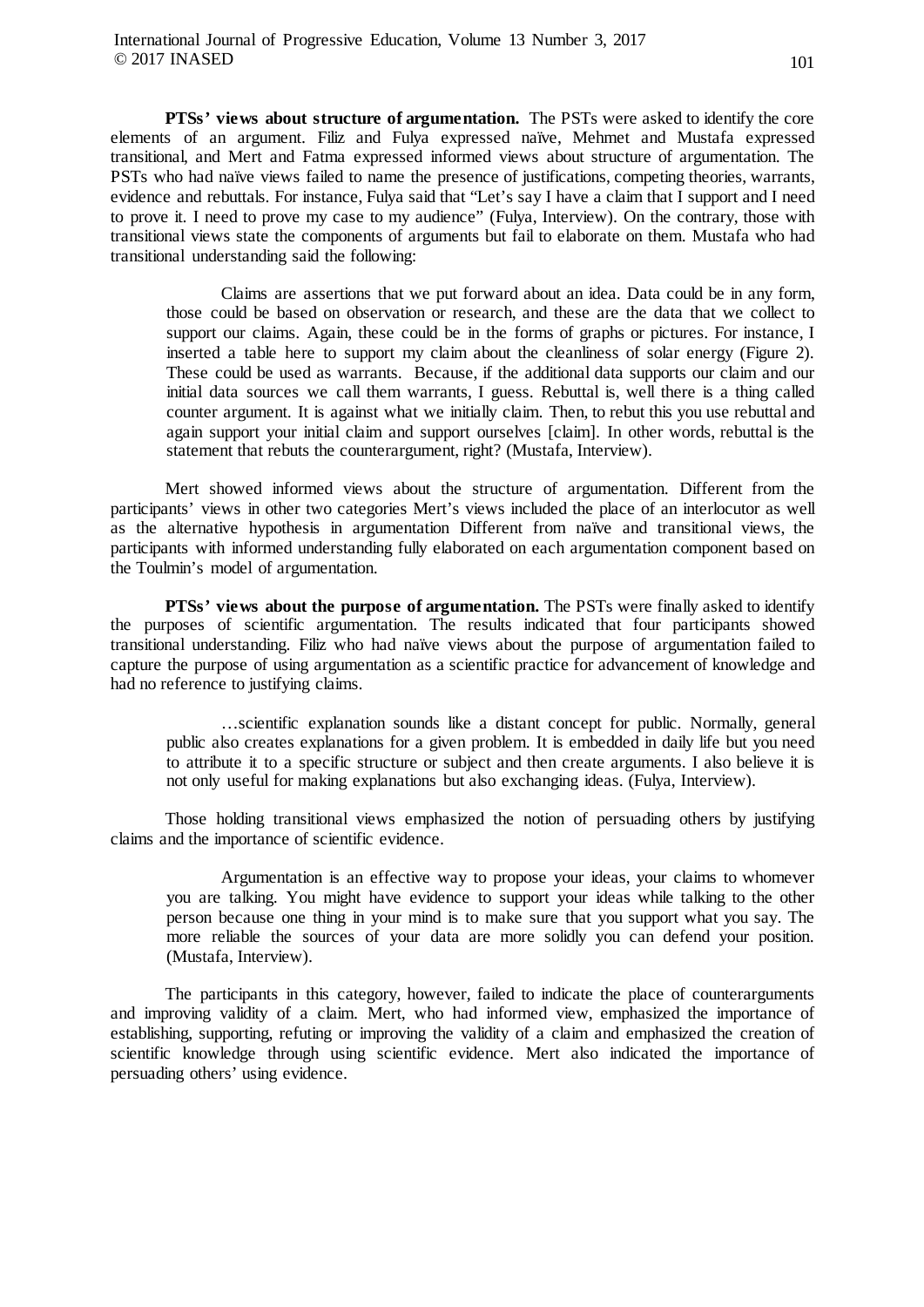**PTSs' views about structure of argumentation.** The PSTs were asked to identify the core elements of an argument. Filiz and Fulya expressed naïve, Mehmet and Mustafa expressed transitional, and Mert and Fatma expressed informed views about structure of argumentation. The PSTs who had naïve views failed to name the presence of justifications, competing theories, warrants, evidence and rebuttals. For instance, Fulya said that "Let's say I have a claim that I support and I need to prove it. I need to prove my case to my audience" (Fulya, Interview). On the contrary, those with transitional views state the components of arguments but fail to elaborate on them. Mustafa who had transitional understanding said the following:

Claims are assertions that we put forward about an idea. Data could be in any form, those could be based on observation or research, and these are the data that we collect to support our claims. Again, these could be in the forms of graphs or pictures. For instance, I inserted a table here to support my claim about the cleanliness of solar energy (Figure 2). These could be used as warrants. Because, if the additional data supports our claim and our initial data sources we call them warrants, I guess. Rebuttal is, well there is a thing called counter argument. It is against what we initially claim. Then, to rebut this you use rebuttal and again support your initial claim and support ourselves [claim]. In other words, rebuttal is the statement that rebuts the counterargument, right? (Mustafa, Interview).

Mert showed informed views about the structure of argumentation. Different from the participants' views in other two categories Mert's views included the place of an interlocutor as well as the alternative hypothesis in argumentation Different from naïve and transitional views, the participants with informed understanding fully elaborated on each argumentation component based on the Toulmin's model of argumentation.

**PTSs' views about the purpose of argumentation.** The PSTs were finally asked to identify the purposes of scientific argumentation. The results indicated that four participants showed transitional understanding. Filiz who had naïve views about the purpose of argumentation failed to capture the purpose of using argumentation as a scientific practice for advancement of knowledge and had no reference to justifying claims.

…scientific explanation sounds like a distant concept for public. Normally, general public also creates explanations for a given problem. It is embedded in daily life but you need to attribute it to a specific structure or subject and then create arguments. I also believe it is not only useful for making explanations but also exchanging ideas. (Fulya, Interview).

Those holding transitional views emphasized the notion of persuading others by justifying claims and the importance of scientific evidence.

Argumentation is an effective way to propose your ideas, your claims to whomever you are talking. You might have evidence to support your ideas while talking to the other person because one thing in your mind is to make sure that you support what you say. The more reliable the sources of your data are more solidly you can defend your position. (Mustafa, Interview).

The participants in this category, however, failed to indicate the place of counterarguments and improving validity of a claim. Mert, who had informed view, emphasized the importance of establishing, supporting, refuting or improving the validity of a claim and emphasized the creation of scientific knowledge through using scientific evidence. Mert also indicated the importance of persuading others' using evidence.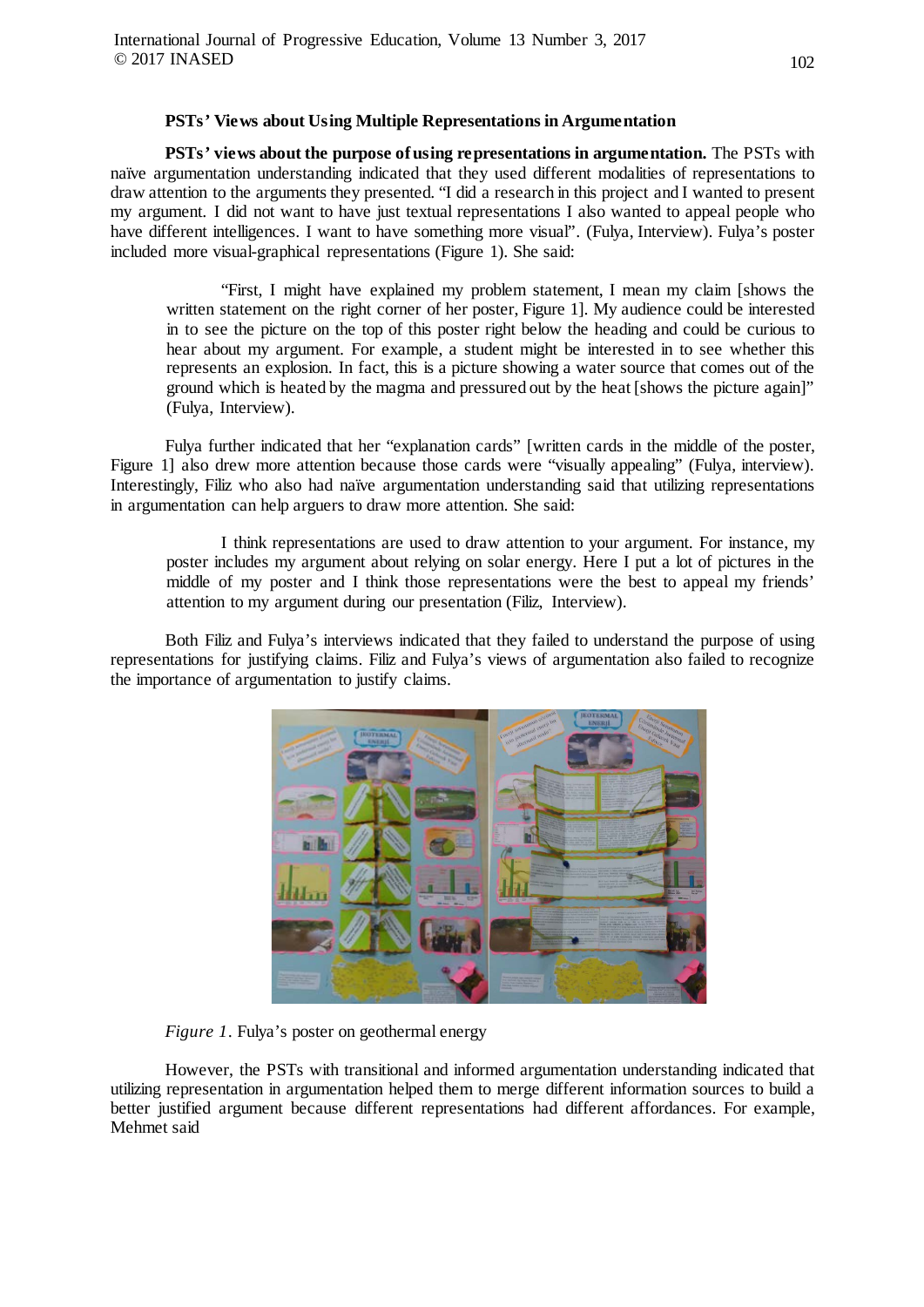## **PSTs' Views about Using Multiple Representations in Argumentation**

**PSTs' views about the purpose of using representations in argumentation.** The PSTs with naïve argumentation understanding indicated that they used different modalities of representations to draw attention to the arguments they presented. "I did a research in this project and I wanted to present my argument. I did not want to have just textual representations I also wanted to appeal people who have different intelligences. I want to have something more visual". (Fulya, Interview). Fulya's poster included more visual-graphical representations (Figure 1). She said:

"First, I might have explained my problem statement, I mean my claim [shows the written statement on the right corner of her poster, Figure 1]. My audience could be interested in to see the picture on the top of this poster right below the heading and could be curious to hear about my argument. For example, a student might be interested in to see whether this represents an explosion. In fact, this is a picture showing a water source that comes out of the ground which is heated by the magma and pressured out by the heat [shows the picture again]" (Fulya, Interview).

Fulya further indicated that her "explanation cards" [written cards in the middle of the poster, Figure 1] also drew more attention because those cards were "visually appealing" (Fulya, interview). Interestingly, Filiz who also had naïve argumentation understanding said that utilizing representations in argumentation can help arguers to draw more attention. She said:

I think representations are used to draw attention to your argument. For instance, my poster includes my argument about relying on solar energy. Here I put a lot of pictures in the middle of my poster and I think those representations were the best to appeal my friends' attention to my argument during our presentation (Filiz, Interview).

Both Filiz and Fulya's interviews indicated that they failed to understand the purpose of using representations for justifying claims. Filiz and Fulya's views of argumentation also failed to recognize the importance of argumentation to justify claims.



*Figure 1*. Fulya's poster on geothermal energy

However, the PSTs with transitional and informed argumentation understanding indicated that utilizing representation in argumentation helped them to merge different information sources to build a better justified argument because different representations had different affordances. For example, Mehmet said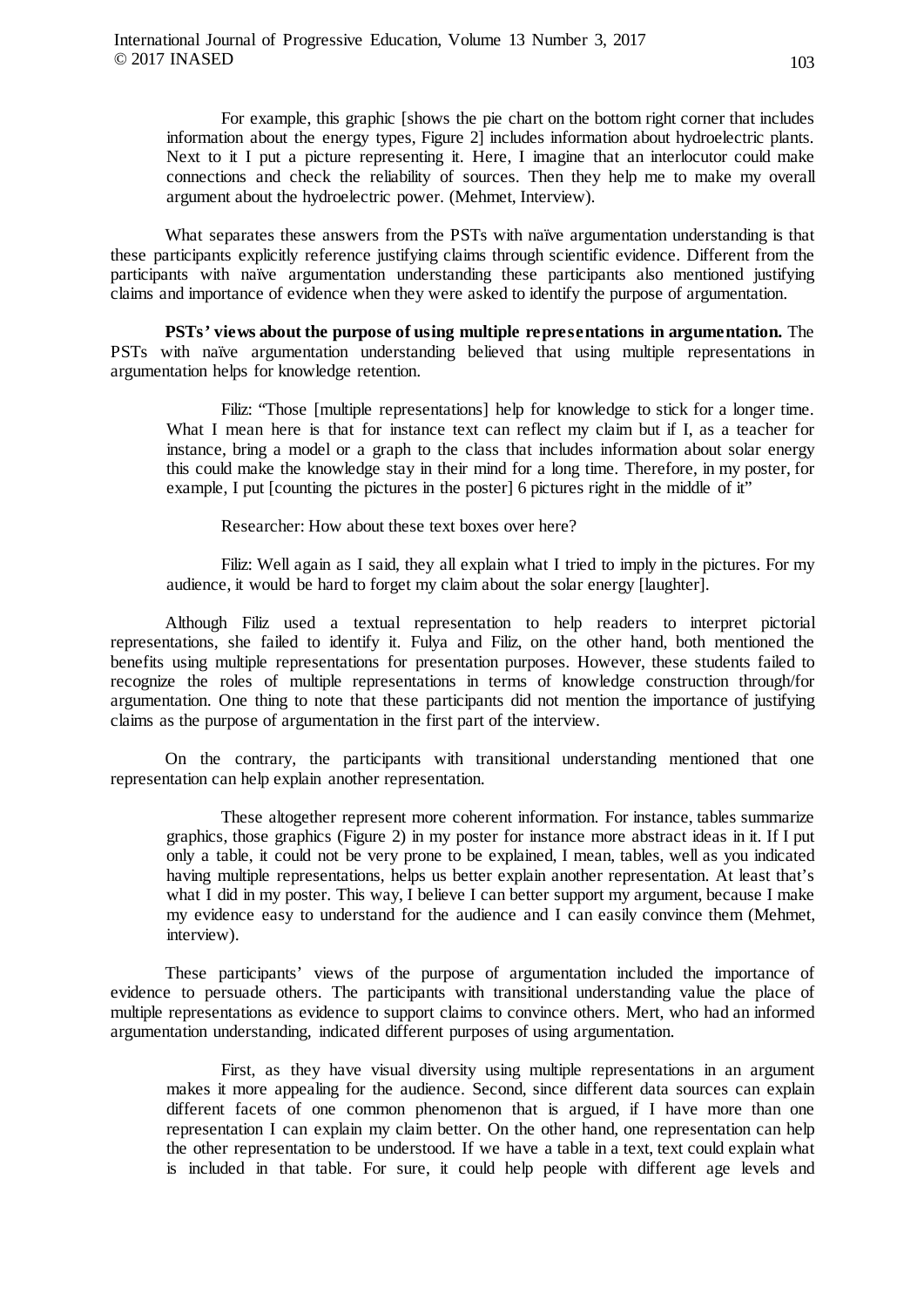For example, this graphic [shows the pie chart on the bottom right corner that includes information about the energy types, Figure 2] includes information about hydroelectric plants. Next to it I put a picture representing it. Here, I imagine that an interlocutor could make connections and check the reliability of sources. Then they help me to make my overall argument about the hydroelectric power. (Mehmet, Interview).

What separates these answers from the PSTs with naïve argumentation understanding is that these participants explicitly reference justifying claims through scientific evidence. Different from the participants with naïve argumentation understanding these participants also mentioned justifying claims and importance of evidence when they were asked to identify the purpose of argumentation.

**PSTs' views about the purpose of using multiple representations in argumentation.** The PSTs with naïve argumentation understanding believed that using multiple representations in argumentation helps for knowledge retention.

Filiz: "Those [multiple representations] help for knowledge to stick for a longer time. What I mean here is that for instance text can reflect my claim but if I, as a teacher for instance, bring a model or a graph to the class that includes information about solar energy this could make the knowledge stay in their mind for a long time. Therefore, in my poster, for example, I put [counting the pictures in the poster] 6 pictures right in the middle of  $\mathfrak{it}^{\mathfrak{d}}$ 

Researcher: How about these text boxes over here?

Filiz: Well again as I said, they all explain what I tried to imply in the pictures. For my audience, it would be hard to forget my claim about the solar energy [laughter].

Although Filiz used a textual representation to help readers to interpret pictorial representations, she failed to identify it. Fulya and Filiz, on the other hand, both mentioned the benefits using multiple representations for presentation purposes. However, these students failed to recognize the roles of multiple representations in terms of knowledge construction through/for argumentation. One thing to note that these participants did not mention the importance of justifying claims as the purpose of argumentation in the first part of the interview.

On the contrary, the participants with transitional understanding mentioned that one representation can help explain another representation.

These altogether represent more coherent information. For instance, tables summarize graphics, those graphics (Figure 2) in my poster for instance more abstract ideas in it. If I put only a table, it could not be very prone to be explained, I mean, tables, well as you indicated having multiple representations, helps us better explain another representation. At least that's what I did in my poster. This way, I believe I can better support my argument, because I make my evidence easy to understand for the audience and I can easily convince them (Mehmet, interview).

These participants' views of the purpose of argumentation included the importance of evidence to persuade others. The participants with transitional understanding value the place of multiple representations as evidence to support claims to convince others. Mert, who had an informed argumentation understanding, indicated different purposes of using argumentation.

First, as they have visual diversity using multiple representations in an argument makes it more appealing for the audience. Second, since different data sources can explain different facets of one common phenomenon that is argued, if I have more than one representation I can explain my claim better. On the other hand, one representation can help the other representation to be understood. If we have a table in a text, text could explain what is included in that table. For sure, it could help people with different age levels and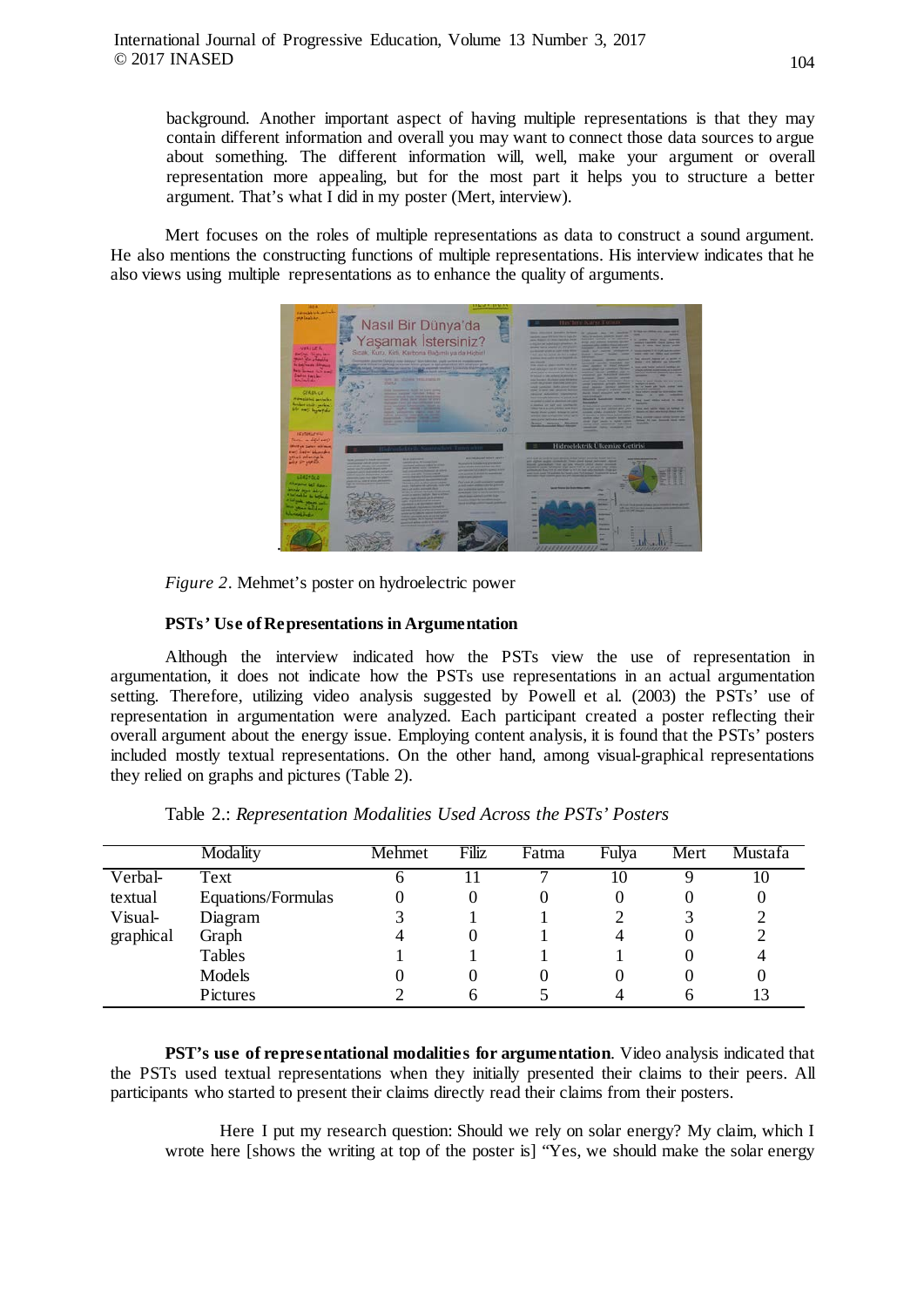background. Another important aspect of having multiple representations is that they may contain different information and overall you may want to connect those data sources to argue about something. The different information will, well, make your argument or overall representation more appealing, but for the most part it helps you to structure a better argument. That's what I did in my poster (Mert, interview).

Mert focuses on the roles of multiple representations as data to construct a sound argument. He also mentions the constructing functions of multiple representations. His interview indicates that he also views using multiple representations as to enhance the quality of arguments.



*Figure 2*. Mehmet's poster on hydroelectric power

# **PSTs' Use of Representations in Argumentation**

Although the interview indicated how the PSTs view the use of representation in argumentation, it does not indicate how the PSTs use representations in an actual argumentation setting. Therefore, utilizing video analysis suggested by Powell et al. (2003) the PSTs' use of representation in argumentation were analyzed. Each participant created a poster reflecting their overall argument about the energy issue. Employing content analysis, it is found that the PSTs' posters included mostly textual representations. On the other hand, among visual-graphical representations they relied on graphs and pictures (Table 2).

|           | Modality           | Mehmet | Filiz | Fatma | Fulya | Mert     | Mustafa |
|-----------|--------------------|--------|-------|-------|-------|----------|---------|
| Verbal-   | Text               | n      |       |       | 10    |          | 10      |
| textual   | Equations/Formulas |        |       |       |       |          | U       |
| Visual-   | Diagram            |        |       |       |       |          |         |
| graphical | Graph              |        |       |       |       | <b>U</b> |         |
|           | Tables             |        |       |       |       | 0        |         |
|           | Models             |        |       |       |       | U        | U       |
|           | Pictures           |        |       |       |       |          |         |

Table 2.: *Representation Modalities Used Across the PSTs' Posters*

**PST's use of representational modalities for argumentation**. Video analysis indicated that the PSTs used textual representations when they initially presented their claims to their peers. All participants who started to present their claims directly read their claims from their posters.

Here I put my research question: Should we rely on solar energy? My claim, which I wrote here [shows the writing at top of the poster is] "Yes, we should make the solar energy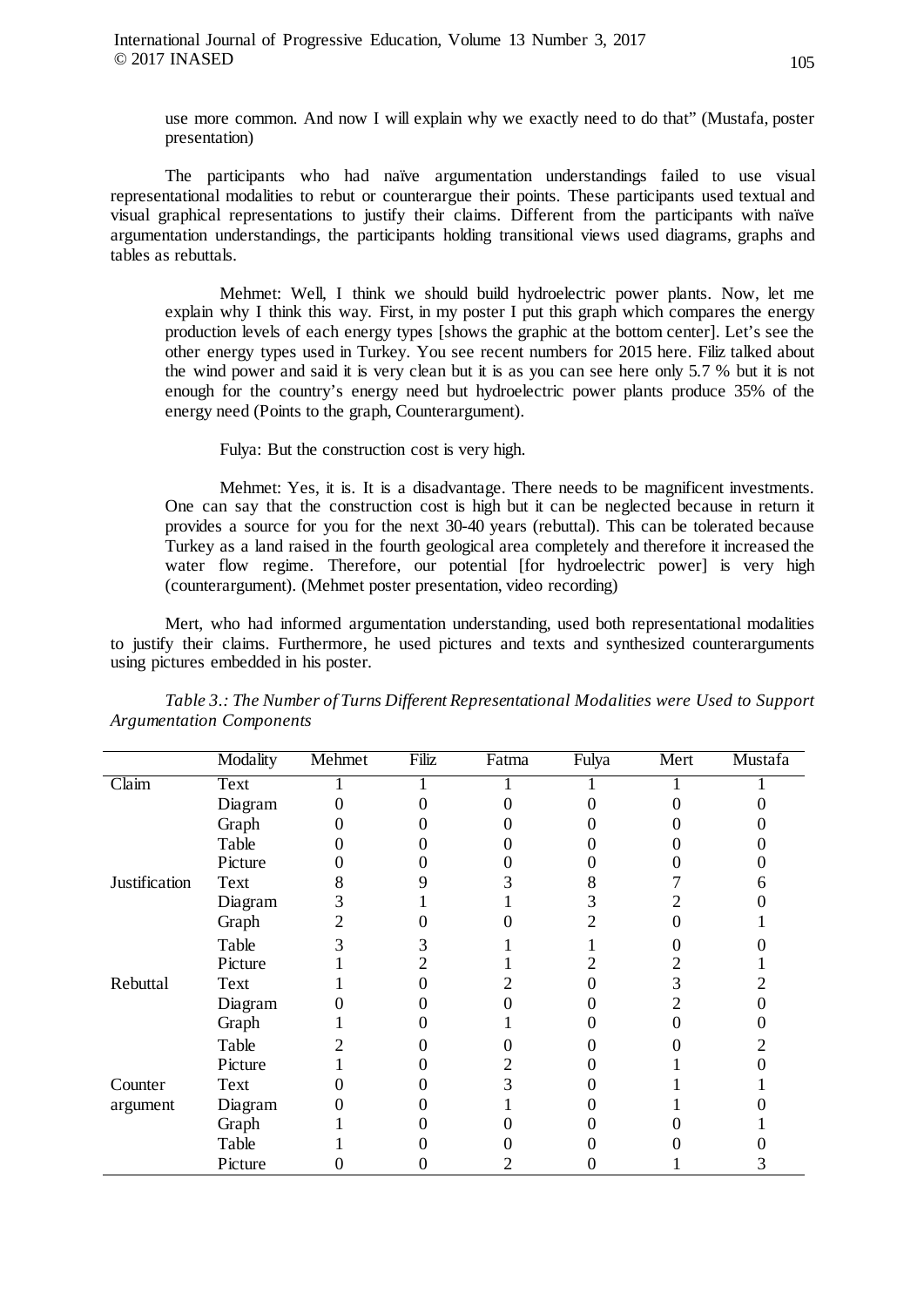use more common. And now I will explain why we exactly need to do that" (Mustafa, poster presentation)

The participants who had naïve argumentation understandings failed to use visual representational modalities to rebut or counterargue their points. These participants used textual and visual graphical representations to justify their claims. Different from the participants with naïve argumentation understandings, the participants holding transitional views used diagrams, graphs and tables as rebuttals.

Mehmet: Well, I think we should build hydroelectric power plants. Now, let me explain why I think this way. First, in my poster I put this graph which compares the energy production levels of each energy types [shows the graphic at the bottom center]. Let's see the other energy types used in Turkey. You see recent numbers for 2015 here. Filiz talked about the wind power and said it is very clean but it is as you can see here only 5.7 % but it is not enough for the country's energy need but hydroelectric power plants produce 35% of the energy need (Points to the graph, Counterargument).

Fulya: But the construction cost is very high.

Mehmet: Yes, it is. It is a disadvantage. There needs to be magnificent investments. One can say that the construction cost is high but it can be neglected because in return it provides a source for you for the next 30-40 years (rebuttal). This can be tolerated because Turkey as a land raised in the fourth geological area completely and therefore it increased the water flow regime. Therefore, our potential [for hydroelectric power] is very high (counterargument). (Mehmet poster presentation, video recording)

Mert, who had informed argumentation understanding, used both representational modalities to justify their claims. Furthermore, he used pictures and texts and synthesized counterarguments using pictures embedded in his poster.

|               | Modality | Mehmet | Filiz | Fatma | Fulya | Mert | Mustafa |
|---------------|----------|--------|-------|-------|-------|------|---------|
| Claim         | Text     |        |       |       |       |      |         |
|               | Diagram  |        |       |       |       |      |         |
|               | Graph    |        |       |       |       |      |         |
|               | Table    |        |       |       |       |      |         |
|               | Picture  |        |       |       |       |      |         |
| Justification | Text     |        |       |       |       |      |         |
|               | Diagram  |        |       |       |       |      |         |
|               | Graph    |        |       |       |       |      |         |
|               | Table    |        |       |       |       |      |         |
|               | Picture  |        |       |       |       |      |         |
| Rebuttal      | Text     |        |       |       |       | 3    |         |
|               | Diagram  |        |       |       |       |      |         |
|               | Graph    |        |       |       |       |      |         |
|               | Table    |        |       |       |       |      |         |
|               | Picture  |        |       |       |       |      |         |
| Counter       | Text     |        |       |       |       |      |         |
| argument      | Diagram  |        |       |       |       |      |         |
|               | Graph    |        |       |       |       |      |         |
|               | Table    |        |       |       |       |      |         |
|               | Picture  |        |       |       |       |      |         |

*Table 3.: The Number of Turns Different Representational Modalities were Used to Support Argumentation Components*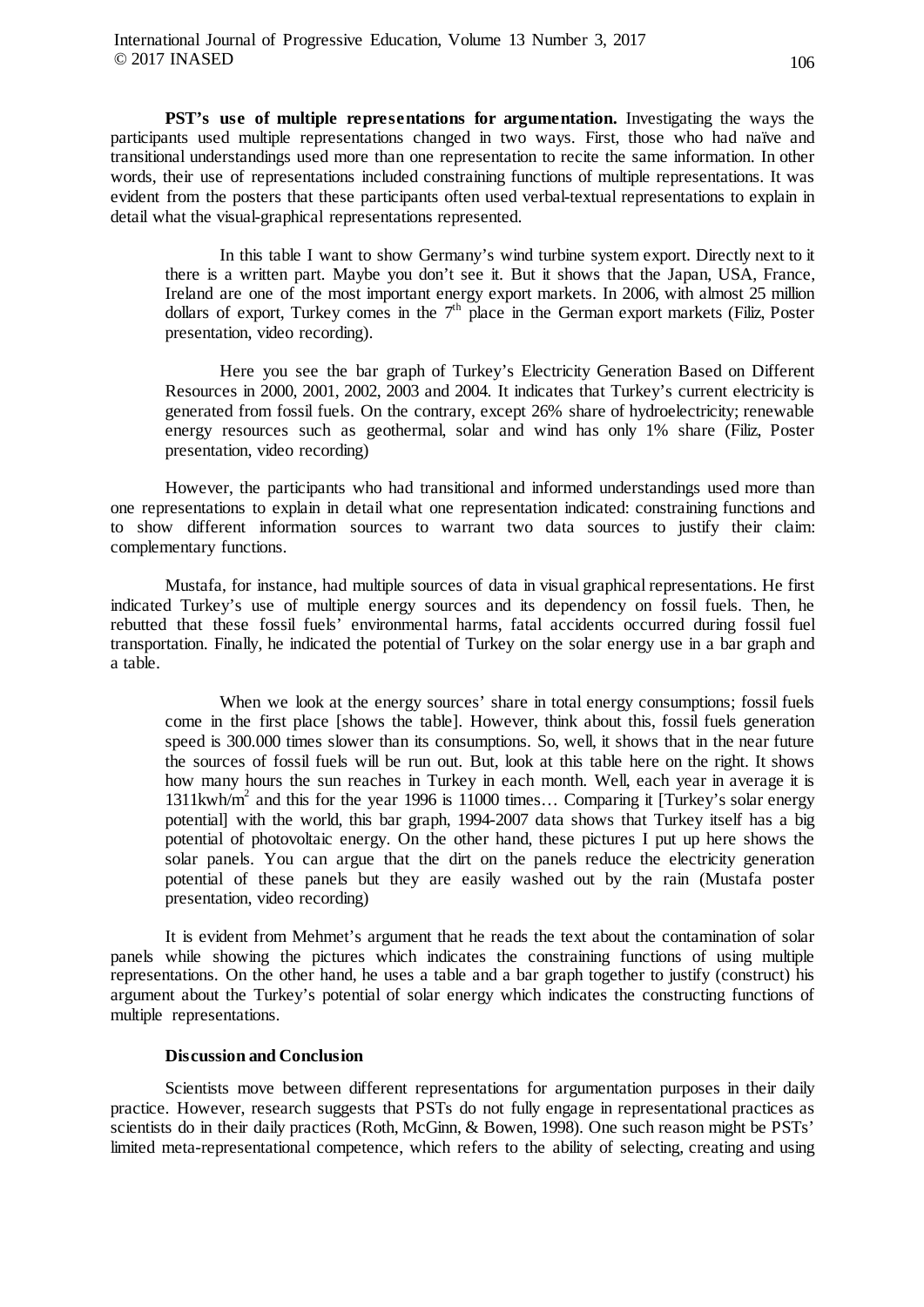**PST's use of multiple representations for argumentation.** Investigating the ways the participants used multiple representations changed in two ways. First, those who had naïve and transitional understandings used more than one representation to recite the same information. In other words, their use of representations included constraining functions of multiple representations. It was evident from the posters that these participants often used verbal-textual representations to explain in detail what the visual-graphical representations represented.

In this table I want to show Germany's wind turbine system export. Directly next to it there is a written part. Maybe you don't see it. But it shows that the Japan, USA, France, Ireland are one of the most important energy export markets. In 2006, with almost 25 million dollars of export, Turkey comes in the  $7<sup>th</sup>$  place in the German export markets (Filiz, Poster presentation, video recording).

Here you see the bar graph of Turkey's Electricity Generation Based on Different Resources in 2000, 2001, 2002, 2003 and 2004. It indicates that Turkey's current electricity is generated from fossil fuels. On the contrary, except 26% share of hydroelectricity; renewable energy resources such as geothermal, solar and wind has only 1% share (Filiz, Poster presentation, video recording)

However, the participants who had transitional and informed understandings used more than one representations to explain in detail what one representation indicated: constraining functions and to show different information sources to warrant two data sources to justify their claim: complementary functions.

Mustafa, for instance, had multiple sources of data in visual graphical representations. He first indicated Turkey's use of multiple energy sources and its dependency on fossil fuels. Then, he rebutted that these fossil fuels' environmental harms, fatal accidents occurred during fossil fuel transportation. Finally, he indicated the potential of Turkey on the solar energy use in a bar graph and a table.

When we look at the energy sources' share in total energy consumptions; fossil fuels come in the first place [shows the table]. However, think about this, fossil fuels generation speed is 300.000 times slower than its consumptions. So, well, it shows that in the near future the sources of fossil fuels will be run out. But, look at this table here on the right. It shows how many hours the sun reaches in Turkey in each month. Well, each year in average it is 1311kwh/m<sup>2</sup> and this for the year 1996 is 11000 times... Comparing it [Turkey's solar energy potential] with the world, this bar graph, 1994-2007 data shows that Turkey itself has a big potential of photovoltaic energy. On the other hand, these pictures I put up here shows the solar panels. You can argue that the dirt on the panels reduce the electricity generation potential of these panels but they are easily washed out by the rain (Mustafa poster presentation, video recording)

It is evident from Mehmet's argument that he reads the text about the contamination of solar panels while showing the pictures which indicates the constraining functions of using multiple representations. On the other hand, he uses a table and a bar graph together to justify (construct) his argument about the Turkey's potential of solar energy which indicates the constructing functions of multiple representations.

# **Discussion and Conclusion**

Scientists move between different representations for argumentation purposes in their daily practice. However, research suggests that PSTs do not fully engage in representational practices as scientists do in their daily practices (Roth, McGinn, & Bowen, 1998). One such reason might be PSTs' limited meta-representational competence, which refers to the ability of selecting, creating and using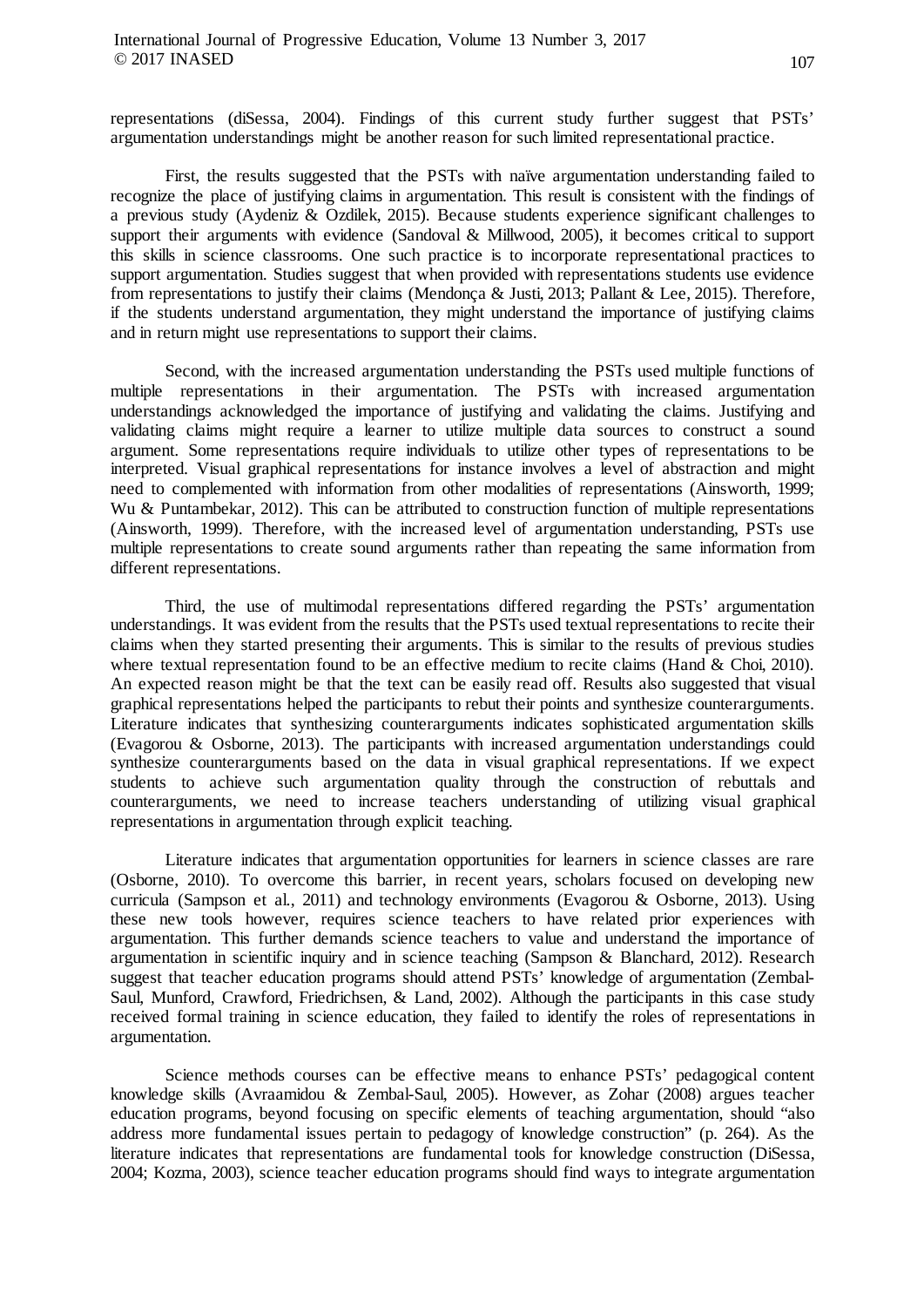representations (diSessa, 2004). Findings of this current study further suggest that PSTs' argumentation understandings might be another reason for such limited representational practice.

First, the results suggested that the PSTs with naïve argumentation understanding failed to recognize the place of justifying claims in argumentation. This result is consistent with the findings of a previous study (Aydeniz & Ozdilek, 2015). Because students experience significant challenges to support their arguments with evidence (Sandoval & Millwood, 2005), it becomes critical to support this skills in science classrooms. One such practice is to incorporate representational practices to support argumentation. Studies suggest that when provided with representations students use evidence from representations to justify their claims (Mendonça & Justi, 2013; Pallant & Lee, 2015). Therefore, if the students understand argumentation, they might understand the importance of justifying claims and in return might use representations to support their claims.

Second, with the increased argumentation understanding the PSTs used multiple functions of multiple representations in their argumentation. The PSTs with increased argumentation understandings acknowledged the importance of justifying and validating the claims. Justifying and validating claims might require a learner to utilize multiple data sources to construct a sound argument. Some representations require individuals to utilize other types of representations to be interpreted. Visual graphical representations for instance involves a level of abstraction and might need to complemented with information from other modalities of representations (Ainsworth, 1999; Wu & Puntambekar, 2012). This can be attributed to construction function of multiple representations (Ainsworth, 1999). Therefore, with the increased level of argumentation understanding, PSTs use multiple representations to create sound arguments rather than repeating the same information from different representations.

Third, the use of multimodal representations differed regarding the PSTs' argumentation understandings. It was evident from the results that the PSTs used textual representations to recite their claims when they started presenting their arguments. This is similar to the results of previous studies where textual representation found to be an effective medium to recite claims (Hand & Choi, 2010). An expected reason might be that the text can be easily read off. Results also suggested that visual graphical representations helped the participants to rebut their points and synthesize counterarguments. Literature indicates that synthesizing counterarguments indicates sophisticated argumentation skills (Evagorou & Osborne, 2013). The participants with increased argumentation understandings could synthesize counterarguments based on the data in visual graphical representations. If we expect students to achieve such argumentation quality through the construction of rebuttals and counterarguments, we need to increase teachers understanding of utilizing visual graphical representations in argumentation through explicit teaching.

Literature indicates that argumentation opportunities for learners in science classes are rare (Osborne, 2010). To overcome this barrier, in recent years, scholars focused on developing new curricula (Sampson et al., 2011) and technology environments (Evagorou & Osborne, 2013). Using these new tools however, requires science teachers to have related prior experiences with argumentation. This further demands science teachers to value and understand the importance of argumentation in scientific inquiry and in science teaching (Sampson & Blanchard, 2012). Research suggest that teacher education programs should attend PSTs' knowledge of argumentation (Zembal-Saul, Munford, Crawford, Friedrichsen, & Land, 2002). Although the participants in this case study received formal training in science education, they failed to identify the roles of representations in argumentation.

Science methods courses can be effective means to enhance PSTs' pedagogical content knowledge skills (Avraamidou & Zembal-Saul, 2005). However, as Zohar (2008) argues teacher education programs, beyond focusing on specific elements of teaching argumentation, should "also address more fundamental issues pertain to pedagogy of knowledge construction" (p. 264). As the literature indicates that representations are fundamental tools for knowledge construction (DiSessa, 2004; Kozma, 2003), science teacher education programs should find ways to integrate argumentation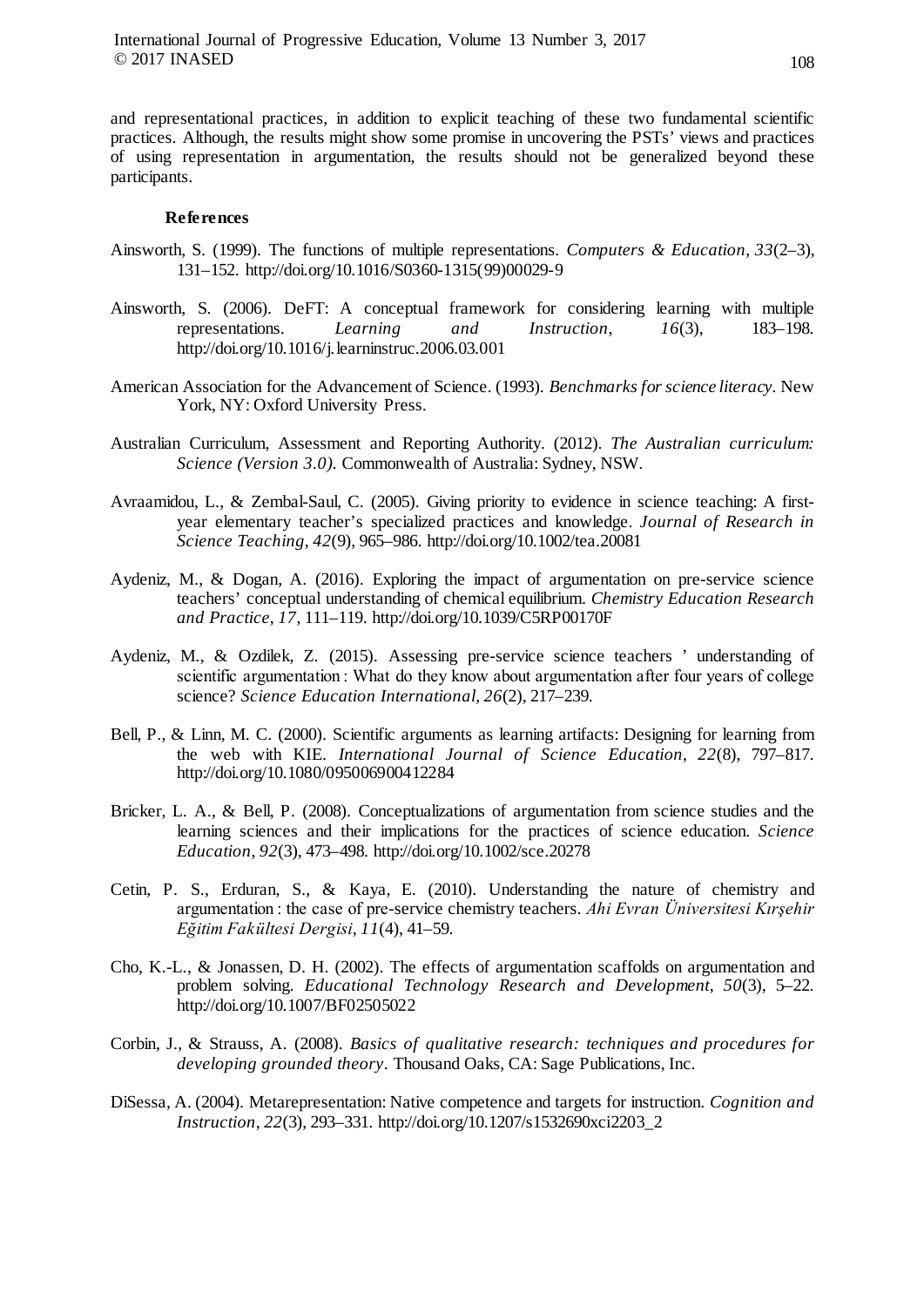and representational practices, in addition to explicit teaching of these two fundamental scientific practices. Although, the results might show some promise in uncovering the PSTs' views and practices of using representation in argumentation, the results should not be generalized beyond these participants.

#### **References**

- Ainsworth, S. (1999). The functions of multiple representations. *Computers & Education*, *33*(2–3), 131–152. http://doi.org/10.1016/S0360-1315(99)00029-9
- Ainsworth, S. (2006). DeFT: A conceptual framework for considering learning with multiple representations. *Learning and Instruction*, *16*(3), 183–198. http://doi.org/10.1016/j.learninstruc.2006.03.001
- American Association for the Advancement of Science. (1993). *Benchmarks for science literacy.* New York, NY: Oxford University Press.
- Australian Curriculum, Assessment and Reporting Authority. (2012). *The Australian curriculum: Science (Version 3.0).* Commonwealth of Australia: Sydney, NSW.
- Avraamidou, L., & Zembal-Saul, C. (2005). Giving priority to evidence in science teaching: A firstyear elementary teacher's specialized practices and knowledge. *Journal of Research in Science Teaching*, *42*(9), 965–986. http://doi.org/10.1002/tea.20081
- Aydeniz, M., & Dogan, A. (2016). Exploring the impact of argumentation on pre-service science teachers' conceptual understanding of chemical equilibrium. *Chemistry Education Research and Practice*, *17*, 111–119. http://doi.org/10.1039/C5RP00170F
- Aydeniz, M., & Ozdilek, Z. (2015). Assessing pre-service science teachers ' understanding of scientific argumentation : What do they know about argumentation after four years of college science? *Science Education International*, *26*(2), 217–239.
- Bell, P., & Linn, M. C. (2000). Scientific arguments as learning artifacts: Designing for learning from the web with KIE. *International Journal of Science Education*, *22*(8), 797–817. http://doi.org/10.1080/095006900412284
- Bricker, L. A., & Bell, P. (2008). Conceptualizations of argumentation from science studies and the learning sciences and their implications for the practices of science education. *Science Education*, *92*(3), 473–498. http://doi.org/10.1002/sce.20278
- Cetin, P. S., Erduran, S., & Kaya, E. (2010). Understanding the nature of chemistry and argumentation : the case of pre-service chemistry teachers. *Ahi Evran Üniversitesi Kırşehir Eğitim Fakültesi Dergisi*, *11*(4), 41–59.
- Cho, K.-L., & Jonassen, D. H. (2002). The effects of argumentation scaffolds on argumentation and problem solving. *Educational Technology Research and Development*, *50*(3), 5–22. http://doi.org/10.1007/BF02505022
- Corbin, J., & Strauss, A. (2008). *Basics of qualitative research: techniques and procedures for developing grounded theory*. Thousand Oaks, CA: Sage Publications, Inc.
- DiSessa, A. (2004). Metarepresentation: Native competence and targets for instruction. *Cognition and Instruction*, *22*(3), 293–331. http://doi.org/10.1207/s1532690xci2203\_2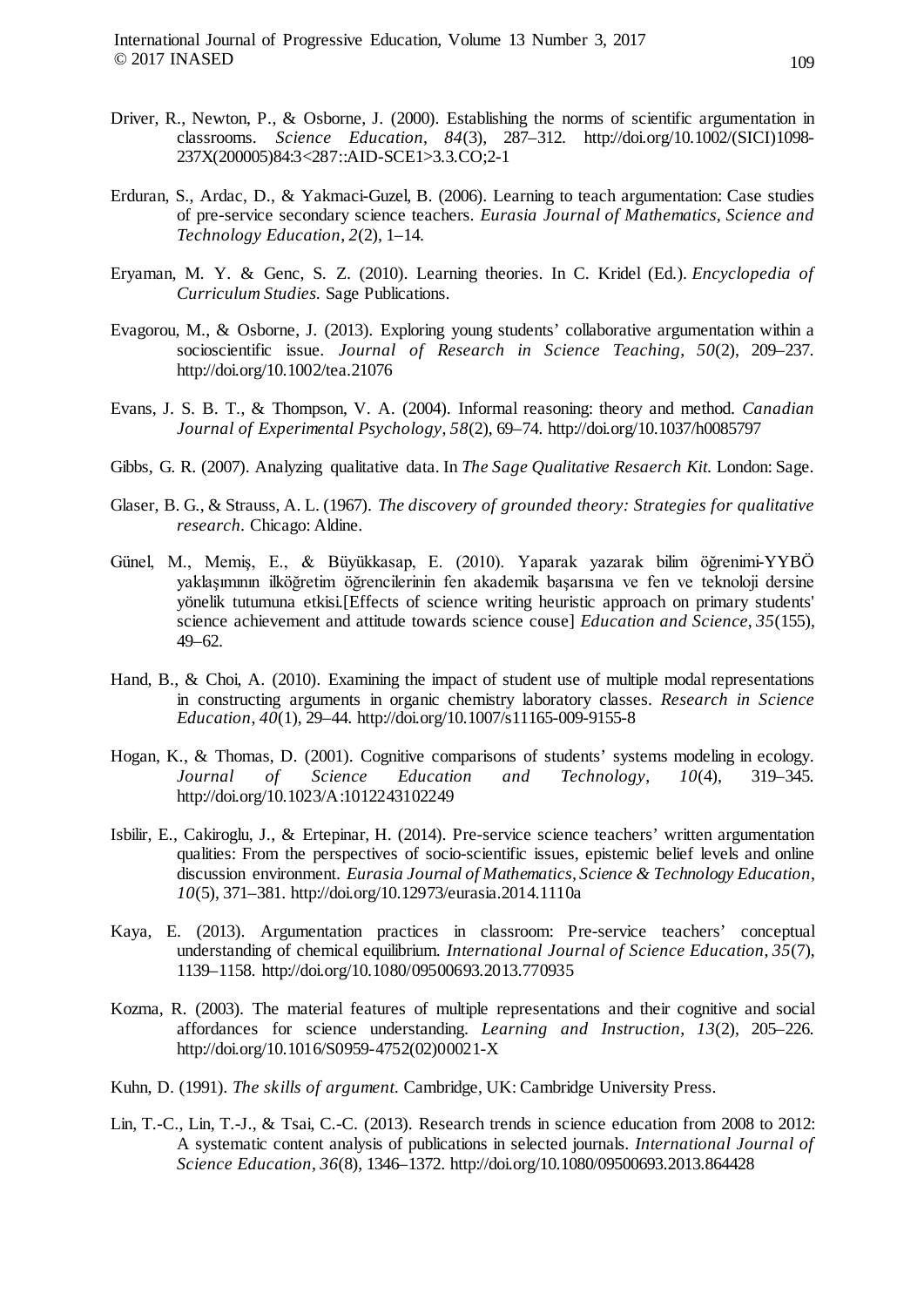- Driver, R., Newton, P., & Osborne, J. (2000). Establishing the norms of scientific argumentation in classrooms. *Science Education*, *84*(3), 287–312. http://doi.org/10.1002/(SICI)1098- 237X(200005)84:3<287::AID-SCE1>3.3.CO;2-1
- Erduran, S., Ardac, D., & Yakmaci-Guzel, B. (2006). Learning to teach argumentation: Case studies of pre-service secondary science teachers. *Eurasia Journal of Mathematics, Science and Technology Education*, *2*(2), 1–14.
- Eryaman, M. Y. & Genc, S. Z. (2010). Learning theories. In C. Kridel (Ed.). *Encyclopedia of Curriculum Studies.* Sage Publications.
- Evagorou, M., & Osborne, J. (2013). Exploring young students' collaborative argumentation within a socioscientific issue. *Journal of Research in Science Teaching*, *50*(2), 209–237. http://doi.org/10.1002/tea.21076
- Evans, J. S. B. T., & Thompson, V. A. (2004). Informal reasoning: theory and method. *Canadian Journal of Experimental Psychology*, *58*(2), 69–74. http://doi.org/10.1037/h0085797
- Gibbs, G. R. (2007). Analyzing qualitative data. In *The Sage Qualitative Resaerch Kit*. London: Sage.
- Glaser, B. G., & Strauss, A. L. (1967). *The discovery of grounded theory: Strategies for qualitative research.* Chicago: Aldine.
- Günel, M., Memiş, E., & Büyükkasap, E. (2010). Yaparak yazarak bilim öğrenimi-YYBÖ yaklaşımının ilköğretim öğrencilerinin fen akademik başarısına ve fen ve teknoloji dersine yönelik tutumuna etkisi.[Effects of science writing heuristic approach on primary students' science achievement and attitude towards science couse] *Education and Science*, *35*(155), 49–62.
- Hand, B., & Choi, A. (2010). Examining the impact of student use of multiple modal representations in constructing arguments in organic chemistry laboratory classes. *Research in Science Education*, *40*(1), 29–44. http://doi.org/10.1007/s11165-009-9155-8
- Hogan, K., & Thomas, D. (2001). Cognitive comparisons of students' systems modeling in ecology. *Journal of Science Education and Technology*, *10*(4), 319–345. http://doi.org/10.1023/A:1012243102249
- Isbilir, E., Cakiroglu, J., & Ertepinar, H. (2014). Pre-service science teachers' written argumentation qualities: From the perspectives of socio-scientific issues, epistemic belief levels and online discussion environment. *Eurasia Journal of Mathematics, Science & Technology Education*, *10*(5), 371–381. http://doi.org/10.12973/eurasia.2014.1110a
- Kaya, E. (2013). Argumentation practices in classroom: Pre-service teachers' conceptual understanding of chemical equilibrium. *International Journal of Science Education*, *35*(7), 1139–1158. http://doi.org/10.1080/09500693.2013.770935
- Kozma, R. (2003). The material features of multiple representations and their cognitive and social affordances for science understanding. *Learning and Instruction*, *13*(2), 205–226. http://doi.org/10.1016/S0959-4752(02)00021-X
- Kuhn, D. (1991). *The skills of argument*. Cambridge, UK: Cambridge University Press.
- Lin, T.-C., Lin, T.-J., & Tsai, C.-C. (2013). Research trends in science education from 2008 to 2012: A systematic content analysis of publications in selected journals. *International Journal of Science Education*, *36*(8), 1346–1372. http://doi.org/10.1080/09500693.2013.864428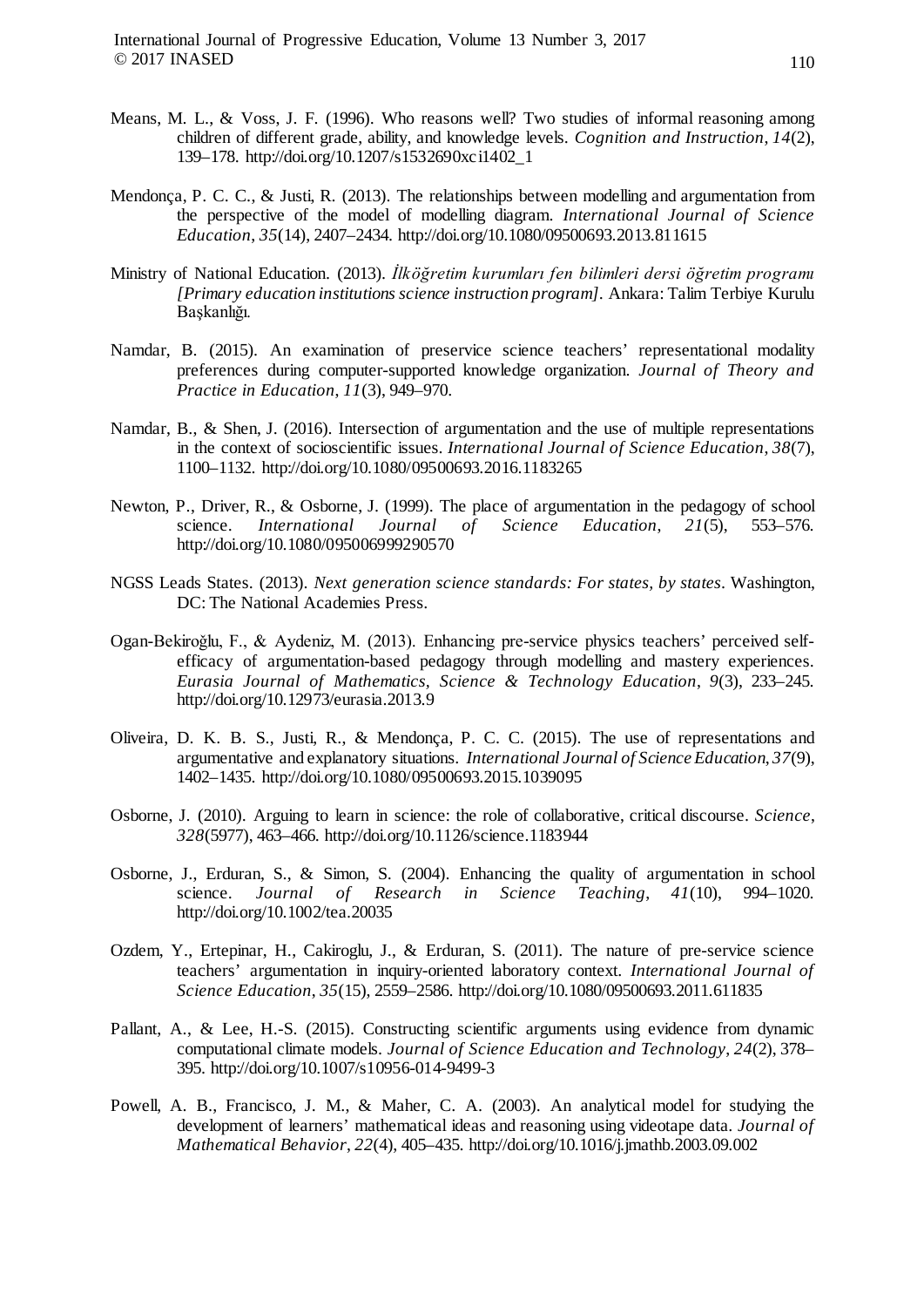- Means, M. L., & Voss, J. F. (1996). Who reasons well? Two studies of informal reasoning among children of different grade, ability, and knowledge levels. *Cognition and Instruction*, *14*(2), 139–178. http://doi.org/10.1207/s1532690xci1402\_1
- Mendonça, P. C. C., & Justi, R. (2013). The relationships between modelling and argumentation from the perspective of the model of modelling diagram. *International Journal of Science Education*, *35*(14), 2407–2434. http://doi.org/10.1080/09500693.2013.811615
- Ministry of National Education. (2013). *İlköğretim kurumları fen bilimleri dersi öğretim programı [Primary education institutions science instruction program]*. Ankara: Talim Terbiye Kurulu Başkanlığı.
- Namdar, B. (2015). An examination of preservice science teachers' representational modality preferences during computer-supported knowledge organization. *Journal of Theory and Practice in Education*, *11*(3), 949–970.
- Namdar, B., & Shen, J. (2016). Intersection of argumentation and the use of multiple representations in the context of socioscientific issues. *International Journal of Science Education*, *38*(7), 1100–1132. http://doi.org/10.1080/09500693.2016.1183265
- Newton, P., Driver, R., & Osborne, J. (1999). The place of argumentation in the pedagogy of school science. *International Journal of Science Education*, *21*(5), 553–576. http://doi.org/10.1080/095006999290570
- NGSS Leads States. (2013). *Next generation science standards: For states, by states*. Washington, DC: The National Academies Press.
- Ogan-Bekiroǧlu, F., & Aydeniz, M. (2013). Enhancing pre-service physics teachers' perceived selfefficacy of argumentation-based pedagogy through modelling and mastery experiences. *Eurasia Journal of Mathematics, Science & Technology Education*, *9*(3), 233–245. http://doi.org/10.12973/eurasia.2013.9
- Oliveira, D. K. B. S., Justi, R., & Mendonça, P. C. C. (2015). The use of representations and argumentative and explanatory situations. *International Journal of Science Education*, *37*(9), 1402–1435. http://doi.org/10.1080/09500693.2015.1039095
- Osborne, J. (2010). Arguing to learn in science: the role of collaborative, critical discourse. *Science*, *328*(5977), 463–466. http://doi.org/10.1126/science.1183944
- Osborne, J., Erduran, S., & Simon, S. (2004). Enhancing the quality of argumentation in school science. *Journal of Research in Science Teaching*, *41*(10), 994–1020. http://doi.org/10.1002/tea.20035
- Ozdem, Y., Ertepinar, H., Cakiroglu, J., & Erduran, S. (2011). The nature of pre-service science teachers' argumentation in inquiry-oriented laboratory context. *International Journal of Science Education*, *35*(15), 2559–2586. http://doi.org/10.1080/09500693.2011.611835
- Pallant, A., & Lee, H.-S. (2015). Constructing scientific arguments using evidence from dynamic computational climate models. *Journal of Science Education and Technology*, *24*(2), 378– 395. http://doi.org/10.1007/s10956-014-9499-3
- Powell, A. B., Francisco, J. M., & Maher, C. A. (2003). An analytical model for studying the development of learners' mathematical ideas and reasoning using videotape data. *Journal of Mathematical Behavior*, *22*(4), 405–435. http://doi.org/10.1016/j.jmathb.2003.09.002